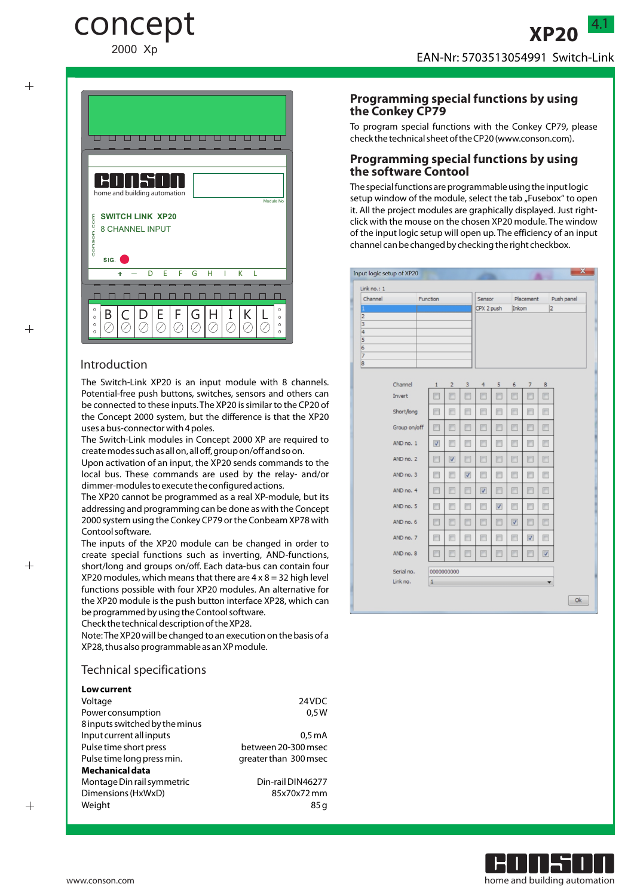# concept

2000 Xp

 $+$ 

 $^{+}$ 

 $+$ 



# Introduction

The Switch-Link XP20 is an input module with 8 channels. Potential-free push buttons, switches, sensors and others can be connected to these inputs. The XP20 is similar to the CP20 of the Concept 2000 system, but the difference is that the XP20 uses a bus-connector with 4 poles.

The Switch-Link modules in Concept 2000 XP are required to create modes such as all on, all off, group on/off and so on.

Upon activation of an input, the XP20 sends commands to the local bus. These commands are used by the relay- and/or dimmer-modules to execute the configured actions.

The XP20 cannot be programmed as a real XP-module, but its addressing and programming can be done as with the Concept 2000 system using the Conkey CP79 or the Conbeam XP78 with Contool software.

The inputs of the XP20 module can be changed in order to create special functions such as inverting, AND-functions, short/long and groups on/off. Each data-bus can contain four XP20 modules, which means that there are  $4 \times 8 = 32$  high level functions possible with four XP20 modules. An alternative for the XP20 module is the push button interface XP28, which can be programmed by using the Contool software.

Check the technical description of the XP28.

Note: The XP20 will be changed to an execution on the basis of a XP28, thus also programmable as an XP module.

# Technical specifications

| Low current                    |                       |
|--------------------------------|-----------------------|
| Voltage                        | 24VDC                 |
| Power consumption              | 0.5W                  |
| 8 inputs switched by the minus |                       |
| Input current all inputs       | 0.5 <sub>m</sub> A    |
| Pulse time short press         | between 20-300 msec   |
| Pulse time long press min.     | greater than 300 msec |
| Mechanical data                |                       |
| Montage Din rail symmetric     | Din-rail DIN46277     |
| Dimensions (HxWxD)             | 85x70x72 mm           |
| Weight                         | 85 a                  |

# **Programming special functions by using the Conkey CP79**

To program special functions with the Conkey CP79, please check the technical sheet of the CP20 (www.conson.com).

## **Programming special functions by using the software Contool**

The special functions are programmable using the input logic setup window of the module, select the tab "Fusebox" to open it. All the project modules are graphically displayed. Just rightclick with the mouse on the chosen XP20 module. The window of the input logic setup will open up. The efficiency of an input channel can be changed by checking the right checkbox.

| Link no.: 1         |              |                         |                         |                                       |                         |                                       |                         |                         |                                        |   |
|---------------------|--------------|-------------------------|-------------------------|---------------------------------------|-------------------------|---------------------------------------|-------------------------|-------------------------|----------------------------------------|---|
| Channel             |              | Function                |                         | Sensor                                |                         |                                       | Placement               |                         | Push panel                             |   |
| 1<br>$\overline{2}$ |              |                         |                         |                                       | CPX 2 push              |                                       | Inkom                   |                         |                                        | 2 |
| $\overline{3}$      |              |                         |                         |                                       |                         |                                       |                         |                         |                                        |   |
|                     |              |                         |                         |                                       |                         |                                       |                         |                         |                                        |   |
|                     |              |                         |                         |                                       |                         |                                       |                         |                         |                                        |   |
|                     |              |                         |                         |                                       |                         |                                       |                         |                         |                                        |   |
|                     |              |                         |                         |                                       |                         |                                       |                         |                         |                                        |   |
|                     |              |                         |                         |                                       |                         |                                       |                         |                         |                                        |   |
| Channel             |              | $\mathbf{1}$            | $\overline{2}$          | $\overline{3}$                        | $\overline{4}$          | 5                                     | 6                       | $\overline{7}$          | 8                                      |   |
| Invert              |              | $\Box$                  | 同                       | $\boxed{1}$                           | $\Box$                  | F                                     | m                       | E                       | F                                      |   |
|                     | Short/long   | E                       | m                       | m                                     | F                       | m                                     | m                       | m                       | $\Box$                                 |   |
|                     | Group on/off | F                       | F                       | $\Box$                                | F                       | F                                     | F                       | F                       | $\Box$                                 |   |
|                     | AND no. 1    | $\overline{\mathsf{v}}$ | E                       | $\begin{array}{c} \hline \end{array}$ | $\Box$                  | $\begin{array}{c} \hline \end{array}$ | m                       | E                       | $\begin{array}{c} \hline \end{array}$  |   |
|                     | AND no. 2    | $\Box$                  | $\overline{\mathbf{v}}$ | $\Box$                                | m                       | F                                     | m                       | F                       | $\Box$                                 |   |
|                     | AND no. 3    | $\Box$                  | $\Box$                  | $\overline{\mathsf{v}}$               | $\Box$                  | E                                     | E                       | E                       | $\begin{array}{c} \square \end{array}$ |   |
|                     | AND no. 4    | F                       | n                       | $\Box$                                | $\overline{\mathbf{v}}$ | 同                                     | F                       | 同                       | 同                                      |   |
|                     | AND no. 5    | $\Box$                  | 同                       |                                       | $\Box$                  | $\overline{\mathbf{v}}$               | m                       | E                       | E                                      |   |
|                     | AND no. 6    | 回                       | E                       | 回                                     | $\Box$                  | 回                                     | $\overline{\mathbf{v}}$ | 同                       | 同                                      |   |
|                     | AND no. 7    | F                       | m                       | m                                     | m                       | F                                     | m                       | $\overline{\mathbf{v}}$ | $\Box$                                 |   |
|                     | AND no. 8    | F                       | m                       | m                                     | F                       | m                                     | F                       | F                       | $\overline{\mathsf{v}}$                |   |
|                     | Serial no.   |                         | 0000000000              |                                       |                         |                                       |                         |                         |                                        |   |
| Link no.            |              | $\mathbf{1}$            |                         |                                       |                         |                                       |                         |                         |                                        |   |

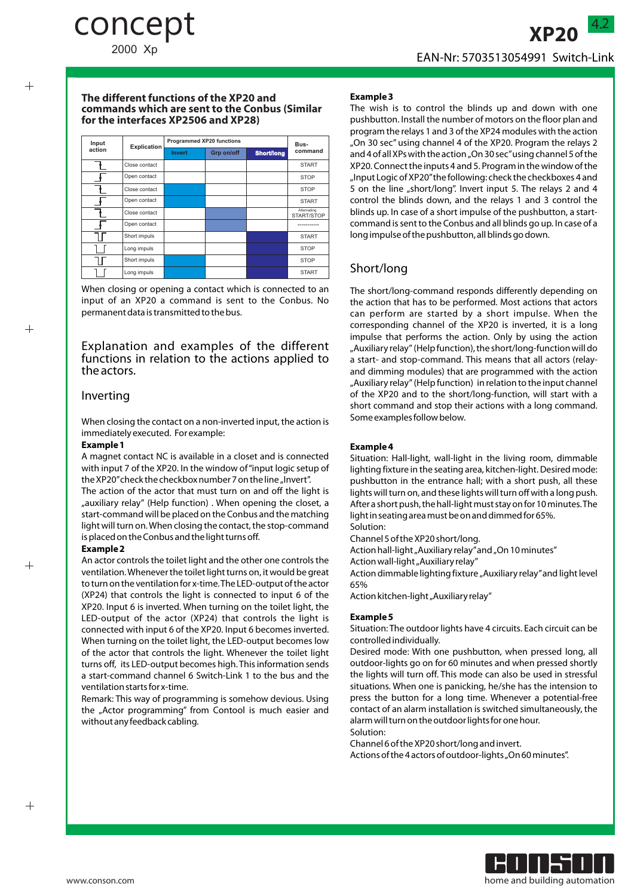2000 Xp



 $+$ 

 $^{+}$ 

 $+$ 

## **The different functions of the XP20 and commands which are sent to the Conbus (Similar for the interfaces XP2506 and XP28)**

| Input  | <b>Explication</b> | <b>Programmed XP20 functions</b> | Bus-              |                   |                           |
|--------|--------------------|----------------------------------|-------------------|-------------------|---------------------------|
| action |                    | <b>Invert</b>                    | <b>Grp on/off</b> | <b>Short/long</b> | command                   |
|        | Close contact      |                                  |                   |                   | <b>START</b>              |
|        | Open contact       |                                  |                   |                   | <b>STOP</b>               |
|        | Close contact      |                                  |                   |                   | <b>STOP</b>               |
|        | Open contact       |                                  |                   |                   | <b>START</b>              |
|        | Close contact      |                                  |                   |                   | Alternating<br>START/STOP |
|        | Open contact       |                                  |                   |                   |                           |
|        | Short impuls       |                                  |                   |                   | <b>START</b>              |
|        | Long impuls        |                                  |                   |                   | <b>STOP</b>               |
|        | Short impuls       |                                  |                   |                   | <b>STOP</b>               |
|        | Long impuls        |                                  |                   |                   | <b>START</b>              |

When closing or opening a contact which is connected to an input of an XP20 a command is sent to the Conbus. No permanent data is transmitted to the bus.

Explanation and examples of the different functions in relation to the actions applied to the actors.

# Inverting

When closing the contact on a non-inverted input, the action is immediately executed. For example:

### **Example 1**

A magnet contact NC is available in a closet and is connected with input 7 of the XP20. In the window of "input logic setup of the XP20" check the checkbox number 7 on the line "Invert".

The action of the actor that must turn on and off the light is "auxiliary relay" (Help function) . When opening the closet, a start-command will be placed on the Conbus and the matching light will turn on. When closing the contact, the stop-command is placed on the Conbus and the light turns off.

#### **Example 2**

An actor controls the toilet light and the other one controls the ventilation. Whenever the toilet light turns on, it would be great to turn on the ventilation for x-time. The LED-output of the actor (XP24) that controls the light is connected to input 6 of the XP20. Input 6 is inverted. When turning on the toilet light, the LED-output of the actor (XP24) that controls the light is connected with input 6 of the XP20. Input 6 becomes inverted. When turning on the toilet light, the LED-output becomes low of the actor that controls the light. Whenever the toilet light turns off, its LED-output becomes high. This information sends a start-command channel 6 Switch-Link 1 to the bus and the ventilation starts for x-time.

Remark: This way of programming is somehow devious. Using the "Actor programming" from Contool is much easier and without any feedback cabling.

## **Example 3**

The wish is to control the blinds up and down with one pushbutton. Install the number of motors on the floor plan and program the relays 1 and 3 of the XP24 modules with the action "On 30 sec" using channel 4 of the XP20. Program the relays 2 and 4 of all XPs with the action "On 30 sec" using channel 5 of the XP20. Connect the inputs 4 and 5. Program in the window of the "Input Logic of XP20"the following: check the checkboxes 4 and 5 on the line "short/long". Invert input 5. The relays 2 and 4 control the blinds down, and the relays 1 and 3 control the blinds up. In case of a short impulse of the pushbutton, a startcommand is sent to the Conbus and all blinds go up. In case of a long impulse of the pushbutton, all blinds go down.

# Short/long

The short/long-command responds differently depending on the action that has to be performed. Most actions that actors can perform are started by a short impulse. When the corresponding channel of the XP20 is inverted, it is a long impulse that performs the action. Only by using the action "Auxiliary relay" (Help function), the short/long-function will do a start- and stop-command. This means that all actors (relayand dimming modules) that are programmed with the action "Auxiliary relay" (Help function) in relation to the input channel of the XP20 and to the short/long-function, will start with a short command and stop their actions with a long command. Some examples follow below.

### **Example 4**

Situation: Hall-light, wall-light in the living room, dimmable lighting fixture in the seating area, kitchen-light. Desired mode: pushbutton in the entrance hall; with a short push, all these lights will turn on, and these lights will turn off with a long push. After a short push, the hall-light must stay on for 10 minutes. The light in seating area must be on and dimmed for 65%. Solution:

Channel 5 of the XP20 short/long.

Action hall-light "Auxiliary relay" and "On 10 minutes"

Action wall-light "Auxiliary relay"

Action dimmable lighting fixture "Auxiliary relay" and light level 65%

Action kitchen-light "Auxiliary relay"

## **Example 5**

Situation: The outdoor lights have 4 circuits. Each circuit can be controlled individually.

Desired mode: With one pushbutton, when pressed long, all outdoor-lights go on for 60 minutes and when pressed shortly the lights will turn off. This mode can also be used in stressful situations. When one is panicking, he/she has the intension to press the button for a long time. Whenever a potential-free contact of an alarm installation is switched simultaneously, the alarm will turn on the outdoor lights for one hour. Solution:

Channel 6 of the XP20 short/long and invert.

Actions of the 4 actors of outdoor-lights "On 60 minutes".